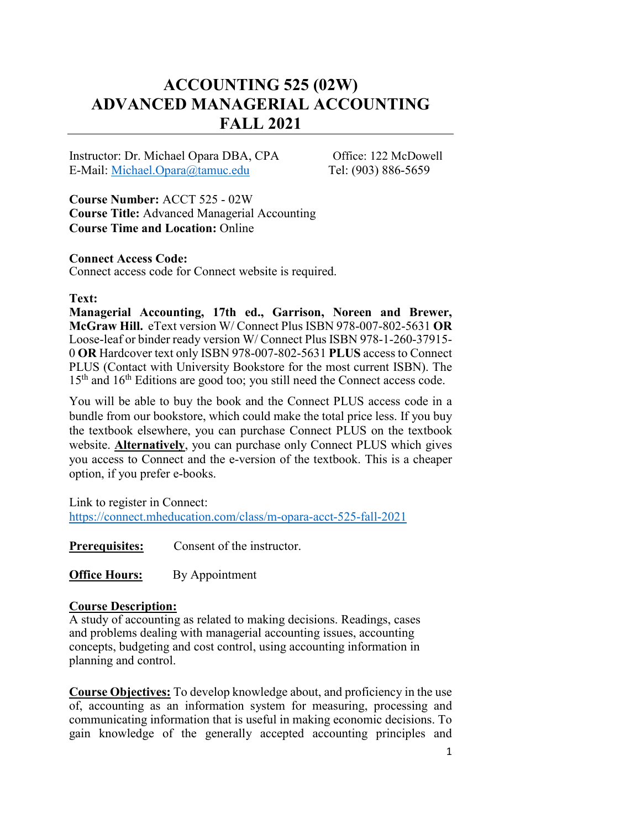# **ACCOUNTING 525 (02W) ADVANCED MANAGERIAL ACCOUNTING FALL 2021**

Instructor: Dr. Michael Opara DBA, CPA Office: 122 McDowell E-Mail: [Michael.Opara@tamuc.edu](mailto:Michael.Opara@tamuc.edu) Tel: (903) 886-5659

**Course Number:** ACCT 525 - 02W **Course Title:** Advanced Managerial Accounting **Course Time and Location:** Online

### **Connect Access Code:**

Connect access code for Connect website is required.

### **Text:**

**Managerial Accounting, 17th ed., Garrison, Noreen and Brewer, McGraw Hill.** eText version W/ Connect Plus ISBN 978-007-802-5631 **OR** Loose-leaf or binder ready version W/ Connect Plus ISBN 978-1-260-37915- 0 **OR** Hardcover text only ISBN 978-007-802-5631 **PLUS** access to Connect PLUS (Contact with University Bookstore for the most current ISBN). The 15<sup>th</sup> and 16<sup>th</sup> Editions are good too; you still need the Connect access code.

You will be able to buy the book and the Connect PLUS access code in a bundle from our bookstore, which could make the total price less. If you buy the textbook elsewhere, you can purchase Connect PLUS on the textbook website. **Alternatively**, you can purchase only Connect PLUS which gives you access to Connect and the e-version of the textbook. This is a cheaper option, if you prefer e-books.

Link to register in Connect: <https://connect.mheducation.com/class/m-opara-acct-525-fall-2021>

**Prerequisites:** Consent of the instructor.

**Office Hours:** By Appointment

### **Course Description:**

A study of accounting as related to making decisions. Readings, cases and problems dealing with managerial accounting issues, accounting concepts, budgeting and cost control, using accounting information in planning and control.

**Course Objectives:** To develop knowledge about, and proficiency in the use of, accounting as an information system for measuring, processing and communicating information that is useful in making economic decisions. To gain knowledge of the generally accepted accounting principles and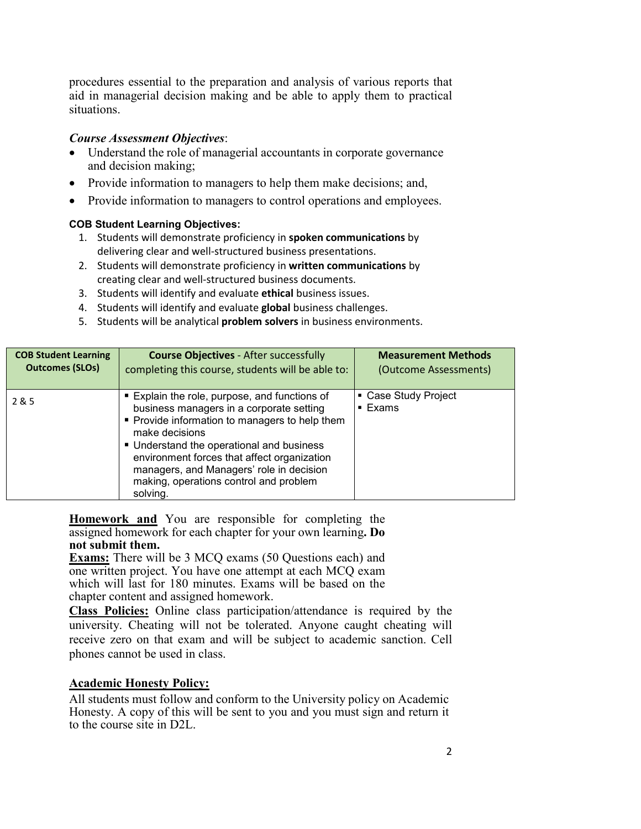procedures essential to the preparation and analysis of various reports that aid in managerial decision making and be able to apply them to practical situations.

### *Course Assessment Objectives*:

- Understand the role of managerial accountants in corporate governance and decision making;
- Provide information to managers to help them make decisions; and,
- Provide information to managers to control operations and employees.

### **COB Student Learning Objectives:**

- 1. Students will demonstrate proficiency in **spoken communications** by delivering clear and well-structured business presentations.
- 2. Students will demonstrate proficiency in **written communications** by creating clear and well-structured business documents.
- 3. Students will identify and evaluate **ethical** business issues.
- 4. Students will identify and evaluate **global** business challenges.
- 5. Students will be analytical **problem solvers** in business environments.

| <b>COB Student Learning</b> | <b>Course Objectives - After successfully</b>                                                                                                                                                                                                                                                                                                             | <b>Measurement Methods</b>                   |
|-----------------------------|-----------------------------------------------------------------------------------------------------------------------------------------------------------------------------------------------------------------------------------------------------------------------------------------------------------------------------------------------------------|----------------------------------------------|
| <b>Outcomes (SLOs)</b>      | completing this course, students will be able to:                                                                                                                                                                                                                                                                                                         | (Outcome Assessments)                        |
| 2&5                         | Explain the role, purpose, and functions of<br>business managers in a corporate setting<br>• Provide information to managers to help them<br>make decisions<br>• Understand the operational and business<br>environment forces that affect organization<br>managers, and Managers' role in decision<br>making, operations control and problem<br>solving. | • Case Study Project<br>$\blacksquare$ Exams |

**Homework and** You are responsible for completing the assigned homework for each chapter for your own learning**. Do not submit them.**

**Exams:** There will be 3 MCQ exams (50 Questions each) and one written project. You have one attempt at each MCQ exam which will last for 180 minutes. Exams will be based on the chapter content and assigned homework.

**Class Policies:** Online class participation/attendance is required by the university. Cheating will not be tolerated. Anyone caught cheating will receive zero on that exam and will be subject to academic sanction. Cell phones cannot be used in class.

# **Academic Honesty Policy:**

All students must follow and conform to the University policy on Academic Honesty. A copy of this will be sent to you and you must sign and return it to the course site in D2L.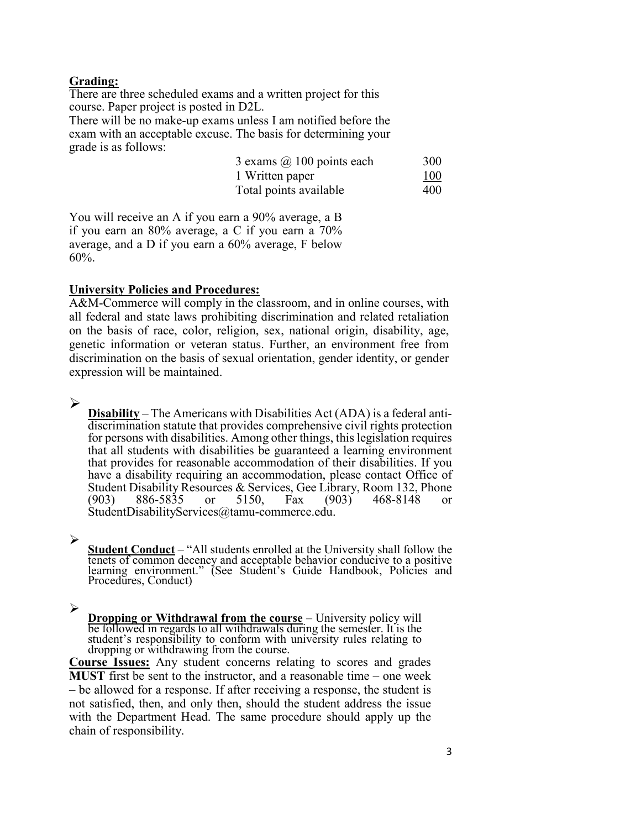### **Grading:**

There are three scheduled exams and a written project for this course. Paper project is posted in D2L.

There will be no make-up exams unless I am notified before the exam with an acceptable excuse. The basis for determining your grade is as follows:

| 3 exams $(a)$ 100 points each | 300 |
|-------------------------------|-----|
| 1 Written paper               | 100 |
| Total points available        | 400 |

You will receive an A if you earn a 90% average, a B if you earn an 80% average, a C if you earn a 70% average, and a D if you earn a 60% average, F below 60%.

# **University Policies and Procedures:**

A&M-Commerce will comply in the classroom, and in online courses, with all federal and state laws prohibiting discrimination and related retaliation on the basis of race, color, religion, sex, national origin, disability, age, genetic information or veteran status. Further, an environment free from discrimination on the basis of sexual orientation, gender identity, or gender expression will be maintained.

### $\blacktriangleright$

**Disability** – The Americans with Disabilities Act (ADA) is a federal anti- discrimination statute that provides comprehensive civil rights protection for persons with disabilities. Among other things, this legislation requires that all students with disabilities be guaranteed a learning environment that provides for reasonable accommodation of their disabilities. If you have a disability requiring an accommodation, please contact Office of Student Disability Resources & Services, Gee Library, Room 132, Phone (903) 886-5835 or 5150, Fax (903) 468-8148 or StudentDisabilityServices@tamu-commerce.edu.

# ➤

**Student Conduct** – "All students enrolled at the University shall follow the tenets of common decency and acceptable behavior conducive to a positive learning environment." (See Student's Guide Handbook, Policies and Procedures, Conduct)

 $\blacktriangleright$ 

**Dropping or Withdrawal from the course** – University policy will be followed in regards to all withdrawals during the semester. It is the student's responsibility to conform with university rules relating to dropping or withdrawing from the course.

**Course Issues:** Any student concerns relating to scores and grades **MUST** first be sent to the instructor, and a reasonable time – one week – be allowed for a response. If after receiving a response, the student is not satisfied, then, and only then, should the student address the issue with the Department Head. The same procedure should apply up the chain of responsibility.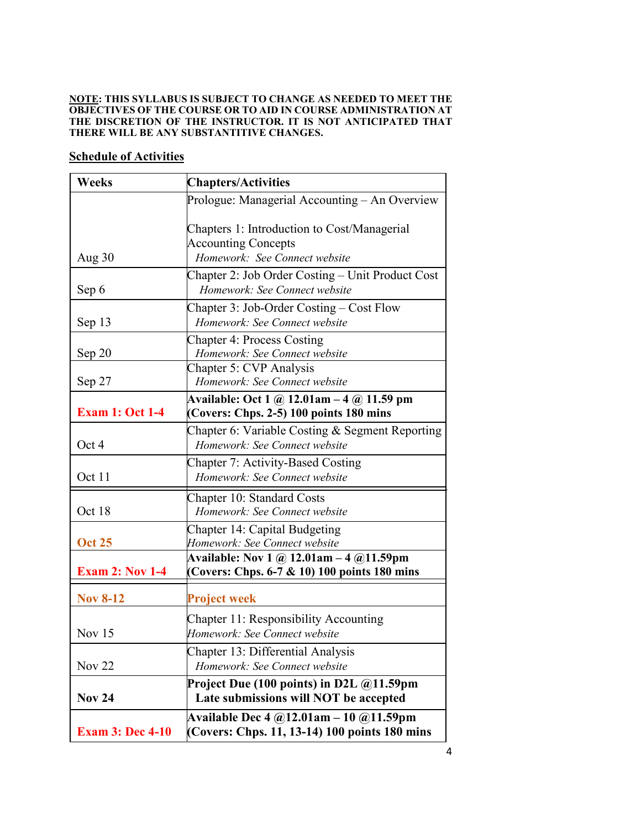#### **NOTE: THIS SYLLABUS IS SUBJECT TO CHANGE AS NEEDED TO MEET THE OBJECTIVES OF THE COURSE OR TO AID IN COURSE ADMINISTRATION AT THE DISCRETION OF THE INSTRUCTOR. IT IS NOT ANTICIPATED THAT THERE WILL BE ANY SUBSTANTITIVE CHANGES.**

# **Schedule of Activities**

| <b>Weeks</b>            | <b>Chapters/Activities</b>                                                                |  |  |
|-------------------------|-------------------------------------------------------------------------------------------|--|--|
|                         | Prologue: Managerial Accounting – An Overview                                             |  |  |
|                         | Chapters 1: Introduction to Cost/Managerial<br><b>Accounting Concepts</b>                 |  |  |
| Aug $30$                | Homework: See Connect website                                                             |  |  |
| Sep 6                   | Chapter 2: Job Order Costing - Unit Product Cost<br>Homework: See Connect website         |  |  |
| Sep 13                  | Chapter 3: Job-Order Costing – Cost Flow<br>Homework: See Connect website                 |  |  |
| Sep 20                  | <b>Chapter 4: Process Costing</b><br>Homework: See Connect website                        |  |  |
| Sep 27                  | Chapter 5: CVP Analysis<br>Homework: See Connect website                                  |  |  |
| <b>Exam 1: Oct 1-4</b>  | Available: Oct 1 @ 12.01am $-$ 4 @ 11.59 pm<br>(Covers: Chps. 2-5) 100 points 180 mins    |  |  |
| Oct 4                   | Chapter 6: Variable Costing $\&$ Segment Reporting<br>Homework: See Connect website       |  |  |
| Oct 11                  | Chapter 7: Activity-Based Costing<br>Homework: See Connect website                        |  |  |
| Oct 18                  | Chapter 10: Standard Costs<br>Homework: See Connect website                               |  |  |
| <b>Oct 25</b>           | Chapter 14: Capital Budgeting<br>Homework: See Connect website                            |  |  |
| <b>Exam 2: Nov 1-4</b>  | Available: Nov 1 @ 12.01am - 4 @11.59pm<br>(Covers: Chps. 6-7 & 10) 100 points 180 mins   |  |  |
| <b>Nov 8-12</b>         | <b>Project week</b>                                                                       |  |  |
| Nov $15$                | Chapter 11: Responsibility Accounting<br>Homework: See Connect website                    |  |  |
| Nov <sub>22</sub>       | Chapter 13: Differential Analysis<br>Homework: See Connect website                        |  |  |
| <b>Nov 24</b>           | Project Due (100 points) in D2L $@11.59$ pm<br>Late submissions will NOT be accepted      |  |  |
| <b>Exam 3: Dec 4-10</b> | Available Dec 4 $@12.01am - 10 @11.59pm$<br>(Covers: Chps. 11, 13-14) 100 points 180 mins |  |  |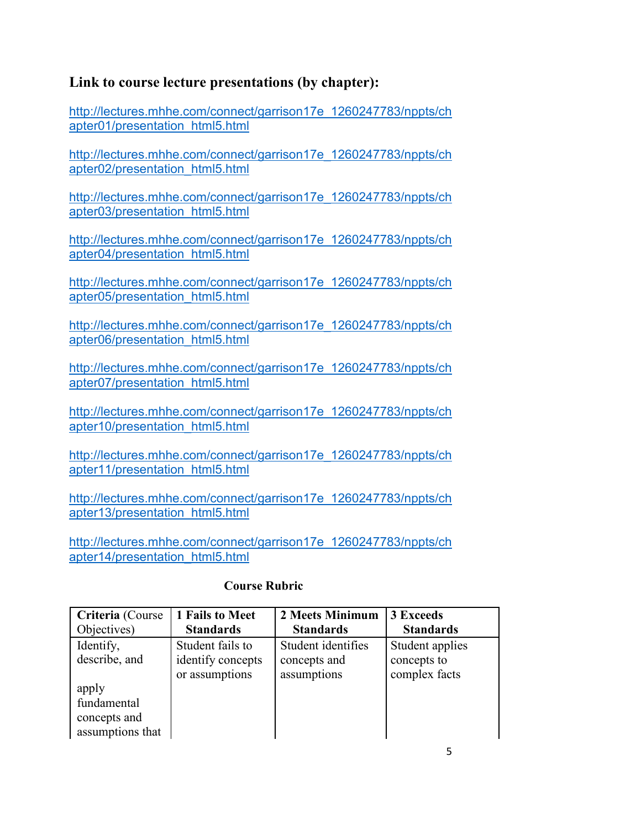# **Link to course lecture presentations (by chapter):**

[http://lectures.mhhe.com/connect/garrison17e\\_1260247783/nppts/ch](http://lectures.mhhe.com/connect/garrison17e_1260247783/nppts/chapter01/presentation_html5.html) [apter01/presentation\\_html5.html](http://lectures.mhhe.com/connect/garrison17e_1260247783/nppts/chapter01/presentation_html5.html)

[http://lectures.mhhe.com/connect/garrison17e\\_1260247783/nppts/ch](http://lectures.mhhe.com/connect/garrison17e_1260247783/nppts/chapter02/presentation_html5.html) [apter02/presentation\\_html5.html](http://lectures.mhhe.com/connect/garrison17e_1260247783/nppts/chapter02/presentation_html5.html)

[http://lectures.mhhe.com/connect/garrison17e\\_1260247783/nppts/ch](http://lectures.mhhe.com/connect/garrison17e_1260247783/nppts/chapter03/presentation_html5.html) [apter03/presentation\\_html5.html](http://lectures.mhhe.com/connect/garrison17e_1260247783/nppts/chapter03/presentation_html5.html)

[http://lectures.mhhe.com/connect/garrison17e\\_1260247783/nppts/ch](http://lectures.mhhe.com/connect/garrison17e_1260247783/nppts/chapter04/presentation_html5.html) [apter04/presentation\\_html5.html](http://lectures.mhhe.com/connect/garrison17e_1260247783/nppts/chapter04/presentation_html5.html)

[http://lectures.mhhe.com/connect/garrison17e\\_1260247783/nppts/ch](http://lectures.mhhe.com/connect/garrison17e_1260247783/nppts/chapter05/presentation_html5.html) [apter05/presentation\\_html5.html](http://lectures.mhhe.com/connect/garrison17e_1260247783/nppts/chapter05/presentation_html5.html)

[http://lectures.mhhe.com/connect/garrison17e\\_1260247783/nppts/ch](http://lectures.mhhe.com/connect/garrison17e_1260247783/nppts/chapter06/presentation_html5.html) [apter06/presentation\\_html5.html](http://lectures.mhhe.com/connect/garrison17e_1260247783/nppts/chapter06/presentation_html5.html)

[http://lectures.mhhe.com/connect/garrison17e\\_1260247783/nppts/ch](http://lectures.mhhe.com/connect/garrison17e_1260247783/nppts/chapter07/presentation_html5.html) [apter07/presentation\\_html5.html](http://lectures.mhhe.com/connect/garrison17e_1260247783/nppts/chapter07/presentation_html5.html)

[http://lectures.mhhe.com/connect/garrison17e\\_1260247783/nppts/ch](http://lectures.mhhe.com/connect/garrison17e_1260247783/nppts/chapter10/presentation_html5.html) [apter10/presentation\\_html5.html](http://lectures.mhhe.com/connect/garrison17e_1260247783/nppts/chapter10/presentation_html5.html)

[http://lectures.mhhe.com/connect/garrison17e\\_1260247783/nppts/ch](http://lectures.mhhe.com/connect/garrison17e_1260247783/nppts/chapter11/presentation_html5.html) [apter11/presentation\\_html5.html](http://lectures.mhhe.com/connect/garrison17e_1260247783/nppts/chapter11/presentation_html5.html)

[http://lectures.mhhe.com/connect/garrison17e\\_1260247783/nppts/ch](http://lectures.mhhe.com/connect/garrison17e_1260247783/nppts/chapter13/presentation_html5.html) [apter13/presentation\\_html5.html](http://lectures.mhhe.com/connect/garrison17e_1260247783/nppts/chapter13/presentation_html5.html)

[http://lectures.mhhe.com/connect/garrison17e\\_1260247783/nppts/ch](http://lectures.mhhe.com/connect/garrison17e_1260247783/nppts/chapter14/presentation_html5.html) [apter14/presentation\\_html5.html](http://lectures.mhhe.com/connect/garrison17e_1260247783/nppts/chapter14/presentation_html5.html)

| Criteria (Course | 1 Fails to Meet   | 2 Meets Minimum    | 3 Exceeds        |
|------------------|-------------------|--------------------|------------------|
| Objectives)      | <b>Standards</b>  | <b>Standards</b>   | <b>Standards</b> |
| Identify,        | Student fails to  | Student identifies | Student applies  |
| describe, and    | identify concepts | concepts and       | concepts to      |
|                  | or assumptions    | assumptions        | complex facts    |
| apply            |                   |                    |                  |
| fundamental      |                   |                    |                  |
| concepts and     |                   |                    |                  |
| assumptions that |                   |                    |                  |

# **Course Rubric**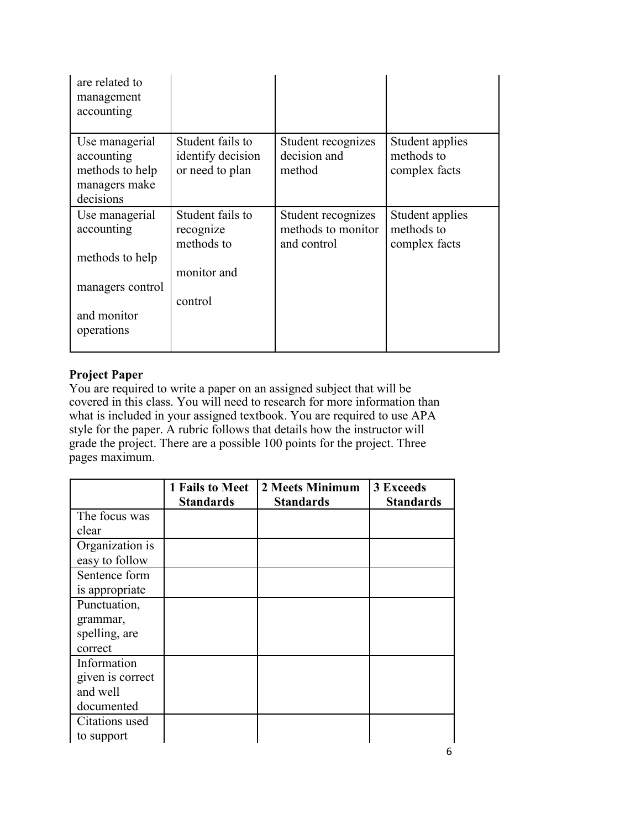| are related to<br>management<br>accounting                                                       |                                                                       |                                                         |                                                |
|--------------------------------------------------------------------------------------------------|-----------------------------------------------------------------------|---------------------------------------------------------|------------------------------------------------|
| Use managerial<br>accounting<br>methods to help<br>managers make<br>decisions                    | Student fails to<br>identify decision<br>or need to plan              | Student recognizes<br>decision and<br>method            | Student applies<br>methods to<br>complex facts |
| Use managerial<br>accounting<br>methods to help<br>managers control<br>and monitor<br>operations | Student fails to<br>recognize<br>methods to<br>monitor and<br>control | Student recognizes<br>methods to monitor<br>and control | Student applies<br>methods to<br>complex facts |

# **Project Paper**

You are required to write a paper on an assigned subject that will be covered in this class. You will need to research for more information than what is included in your assigned textbook. You are required to use APA style for the paper. A rubric follows that details how the instructor will grade the project. There are a possible 100 points for the project. Three pages maximum.

|                  | 1 Fails to Meet<br><b>Standards</b> | 2 Meets Minimum<br><b>Standards</b> | 3 Exceeds<br><b>Standards</b> |
|------------------|-------------------------------------|-------------------------------------|-------------------------------|
| The focus was    |                                     |                                     |                               |
| clear            |                                     |                                     |                               |
| Organization is  |                                     |                                     |                               |
| easy to follow   |                                     |                                     |                               |
| Sentence form    |                                     |                                     |                               |
| is appropriate   |                                     |                                     |                               |
| Punctuation,     |                                     |                                     |                               |
| grammar,         |                                     |                                     |                               |
| spelling, are    |                                     |                                     |                               |
| correct          |                                     |                                     |                               |
| Information      |                                     |                                     |                               |
| given is correct |                                     |                                     |                               |
| and well         |                                     |                                     |                               |
| documented       |                                     |                                     |                               |
| Citations used   |                                     |                                     |                               |
| to support       |                                     |                                     |                               |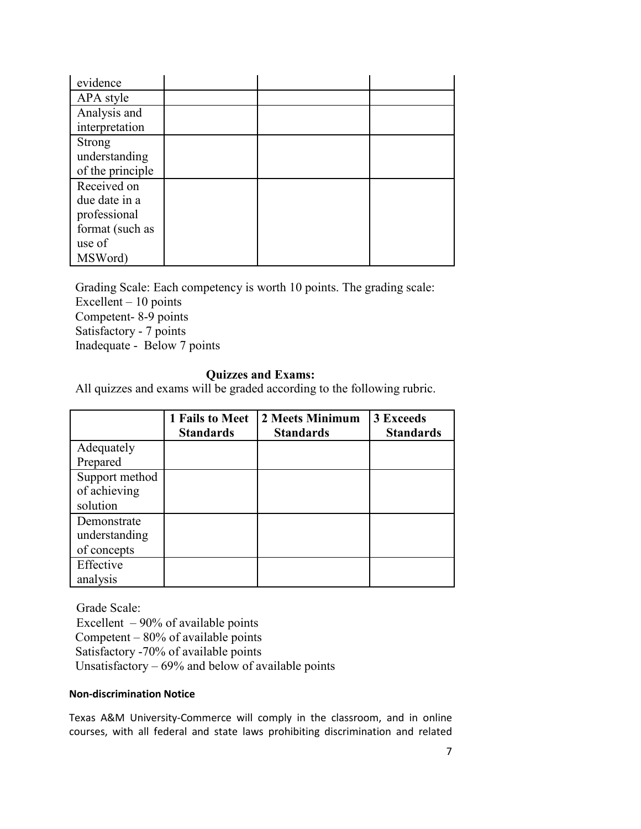| evidence         |  |  |
|------------------|--|--|
| APA style        |  |  |
| Analysis and     |  |  |
| interpretation   |  |  |
| <b>Strong</b>    |  |  |
| understanding    |  |  |
| of the principle |  |  |
| Received on      |  |  |
| due date in a    |  |  |
| professional     |  |  |
| format (such as  |  |  |
| use of           |  |  |
| MSWord)          |  |  |

Grading Scale: Each competency is worth 10 points. The grading scale: Excellent – 10 points Competent- 8-9 points Satisfactory - 7 points Inadequate - Below 7 points

# **Quizzes and Exams:**

All quizzes and exams will be graded according to the following rubric.

|                                             | 1 Fails to Meet<br><b>Standards</b> | 2 Meets Minimum<br><b>Standards</b> | 3 Exceeds<br><b>Standards</b> |
|---------------------------------------------|-------------------------------------|-------------------------------------|-------------------------------|
| Adequately                                  |                                     |                                     |                               |
| Prepared                                    |                                     |                                     |                               |
| Support method<br>of achieving<br>solution  |                                     |                                     |                               |
| Demonstrate<br>understanding<br>of concepts |                                     |                                     |                               |
| Effective<br>analysis                       |                                     |                                     |                               |

Grade Scale: Excellent  $-90\%$  of available points Competent  $-80\%$  of available points Satisfactory -70% of available points Unsatisfactory – 69% and below of available points

#### **Non-discrimination Notice**

Texas A&M University-Commerce will comply in the classroom, and in online courses, with all federal and state laws prohibiting discrimination and related